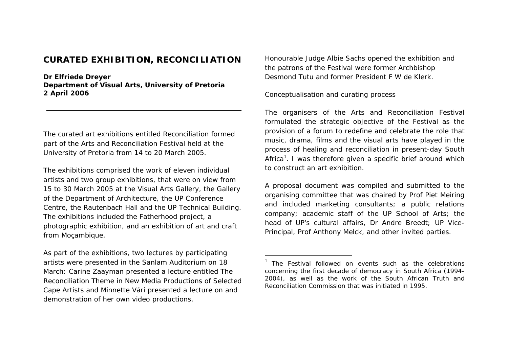## **CURATED EXHIBITION, RECONCILIATION**

**Dr Elfriede Dreyer Department of Visual Arts, University of Pretoria 2 April 2006** 

The curated art exhibitions entitled *Reconciliation* formed part of the Arts and Reconciliation Festival held at the University of Pretoria from 14 to 20 March 2005.

The exhibitions comprised the work of eleven individual artists and two group exhibitions, that were on view from 15 to 30 March 2005 at the Visual Arts Gallery, the Gallery of the Department of Architecture, the UP Conference Centre, the Rautenbach Hall and the UP Technical Building. The exhibitions included the Fatherhood project, a photographic exhibition, and an exhibition of art and craft from Moçambique.

As part of the exhibitions, two lectures by participating artists were presented in the Sanlam Auditorium on 18 March: Carine Zaayman presented a lecture entitled *The Reconciliation Theme in New Media Productions of Selected Cape Artists* and Minnette Vári presented a lecture on and demonstration of her own video productions.

Honourable Judge Albie Sachs opened the exhibition and the patrons of the Festival were former Archbishop Desmond Tutu and former President F W de Klerk.

## *Conceptualisation and curating process*

The organisers of the Arts and Reconciliation Festival formulated the strategic objective of the Festival as the provision of a forum to redefine and celebrate the role that music, drama, films and the visual arts have played in the process of healing and reconciliation in present-day South Africa<sup>1</sup>. I was therefore given a specific brief around which to construct an art exhibition.

A proposal document was compiled and submitted to the organising committee that was chaired by Prof Piet Meiring and included marketing consultants; a public relations company; academic staff of the UP School of Arts; the head of UP's cultural affairs, Dr Andre Breedt; UP Vice-Principal, Prof Anthony Melck, and other invited parties.

 $1$  The Festival followed on events such as the celebrations concerning the first decade of democracy in South Africa (1994- 2004), as well as the work of the South African Truth and Reconciliation Commission that was initiated in 1995.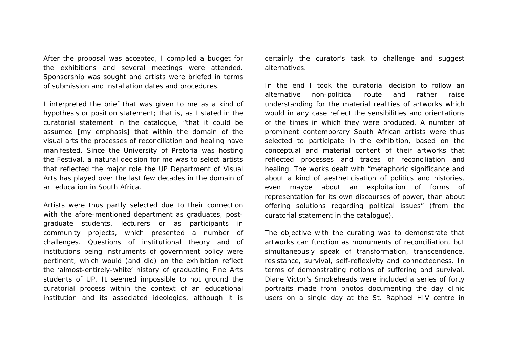After the proposal was accepted, I compiled a budget for the exhibitions and several meetings were attended. Sponsorship was sought and artists were briefed in terms of submission and installation dates and procedures.

I interpreted the brief that was given to me as a kind of hypothesis or position statement; that is, as I stated in the curatorial statement in the catalogue, "that it could be *assumed* [my emphasis] that within the domain of the visual arts the processes of reconciliation and healing have manifested. Since the University of Pretoria was hosting the Festival, a natural decision for me was to select artists that reflected the major role the UP Department of Visual Arts has played over the last few decades in the domain of art education in South Africa.

Artists were thus partly selected due to their connection with the afore-mentioned department as graduates, postgraduate students, lecturers or as participants in community projects, which presented a number of challenges. Questions of institutional theory and of institutions being instruments of government policy were pertinent, which would (and did) on the exhibition reflect the 'almost-entirely-white' history of graduating Fine Arts students of UP. It seemed impossible to not ground the curatorial process within the context of an educational institution and its associated ideologies, although it is

certainly the curator's task to challenge and suggest alternatives.

In the end I took the curatorial decision to follow an alternative non-political route and rather raise understanding for the material realities of artworks which would in any case reflect the sensibilities and orientations of the times in which they were produced. A number of prominent contemporary South African artists were thus selected to participate in the exhibition, based on the conceptual and material content of their artworks that reflected processes and traces of reconciliation and healing. The works dealt with "metaphoric significance and about a kind of aestheticisation of politics and histories, even maybe about an exploitation of forms of representation for its own discourses of power, than about offering solutions regarding political issues" (from the curatorial statement in the catalogue).

The objective with the curating was to demonstrate that artworks can function as monuments of reconciliation, but simultaneously speak of transformation, transcendence, resistance, survival, self-reflexivity and connectedness. In terms of demonstrating notions of suffering and survival, Diane Victor's *Smokeheads* were included a series of forty portraits made from photos documenting the day clinic users on a single day at the St. Raphael HIV centre in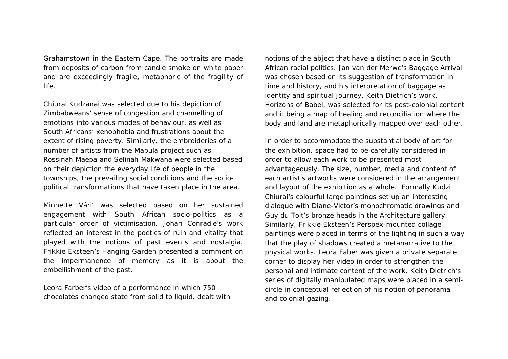Grahamstown in the Eastern Cape. The portraits are made from deposits of carbon from candle smoke on white paper and are exceedingly fragile, metaphoric of the fragility of life.

Chiurai Kudzanai was selected due to his depiction of Zimbabweans' sense of congestion and channelling of emotions into various modes of behaviour, as well as South Africans' xenophobia and frustrations about the extent of rising poverty. Similarly, the embroideries of a number of artists from the Mapula project such as Rossinah Maepa and Selinah Makwana were selected based on their depiction the everyday life of people in the townships, the prevailing social conditions and the sociopolitical transformations that have taken place in the area.

Minnette Vári' was selected based on her sustained engagement with South African socio-politics as a particular order of victimisation. Johan Conradie's work reflected an interest in the poetics of ruin and vitality that played with the notions of past events and nostalgia. Frikkie Eksteen's *Hanging Garden* presented a comment on the impermanence of memory as it is about the embellishment of the past.

Leora Farber's video of a performance in which 750 chocolates changed state from solid to liquid. dealt with notions of the abject that have a distinct place in South African racial politics. Jan van der Merwe's *Baggage Arrival* was chosen based on its suggestion of transformation in time and history, and his interpretation of baggage as identity and spiritual journey. Keith Dietrich's work, *Horizons of Babel,* was selected for its post-colonial content and it being a map of healing and reconciliation where the body and land are metaphorically mapped over each other.

In order to accommodate the substantial body of art for the exhibition, space had to be carefully considered in order to allow each work to be presented most advantageously. The size, number, media and content of each artist's artworks were considered in the arrangement and layout of the exhibition as a whole. Formally Kudzi Chiurai's colourful large paintings set up an interesting dialogue with Diane-Victor's monochromatic drawings and Guy du Toit's bronze heads in the Architecture gallery. Similarly, Frikkie Eksteen's Perspex-mounted collage paintings were placed in terms of the lighting in such a way that the play of shadows created a metanarrative to the physical works. Leora Faber was given a private separate corner to display her video in order to strengthen the personal and intimate content of the work. Keith Dietrich's series of digitally manipulated maps were placed in a semicircle in conceptual reflection of his notion of panorama and colonial gazing.